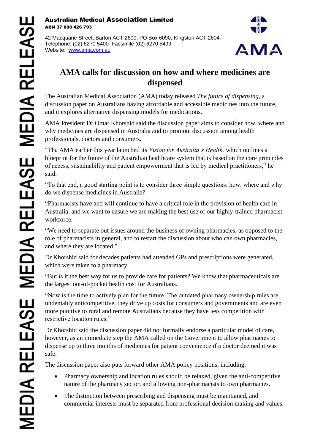## Australian Medical Association Limited ABN 37 008 426 793

42 Macquarie Street, Barton ACT 2600: PO Box 6090, Kingston ACT 2604 Telephone: (02) 6270 5400 Facsimile (02) 6270 5499 Website: [www.ama.com.au](http://www.ama.com.au/)



## **AMA calls for discussion on how and where medicines are dispensed**

The Australian Medical Association (AMA) today released *The future of dispensing,* a discussion paper on Australians having affordable and accessible medicines into the future, and it explores alternative dispensing models for medications.

AMA President Dr Omar Khorshid said the discussion paper aims to consider how, where and why medicines are dispensed in Australia and to promote discussion among health professionals, doctors and consumers.

"The AMA earlier this year launched its *Vision for Australia's Health,* which outlines a blueprint for the future of the Australian healthcare system that is based on the core principles of access, sustainability and patient empowerment that is led by medical practitioners," he said.

"To that end, a good starting point is to consider three simple questions: how, where and why do we dispense medicines in Australia?

"Pharmacists have and will continue to have a critical role in the provision of health care in Australia, and we want to ensure we are making the best use of our highly-trained pharmacist workforce.

"We need to separate out issues around the business of owning pharmacies, as opposed to the role of pharmacists in general, and to restart the discussion about who can own pharmacies, and where they are located."

Dr Khorshid said for decades patients had attended GPs and prescriptions were generated, which were taken to a pharmacy.

"But is it the best way for us to provide care for patients? We know that pharmaceuticals are the largest out-of-pocket health cost for Australians.

"Now is the time to actively plan for the future. The outdated pharmacy ownership rules are undeniably anticompetitive, they drive up costs for consumers and governments and are even more punitive to rural and remote Australians because they have less competition with restrictive location rules."

Dr Khorshid said the discussion paper did not formally endorse a particular model of care, however, as an immediate step the AMA called on the Government to allow pharmacies to dispense up to three months of medicines for patient convenience if a doctor deemed it was safe.

The discussion paper also puts forward other AMA policy positions, including:

- Pharmacy ownership and location rules should be relaxed, given the anti-competitive nature of the pharmacy sector, and allowing non-pharmacists to own pharmacies.
- The distinction between prescribing and dispensing must be maintained, and commercial interests must be separated from professional decision making and values.